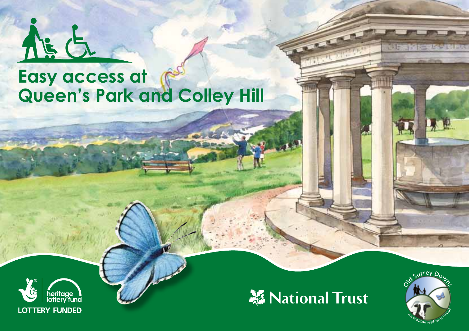

# **Easy access at Queen's Park and Colley Hill**





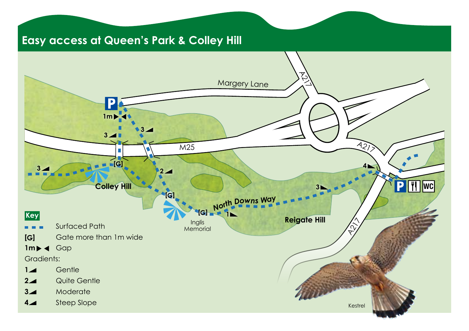### **Easy access at Queen's Park & Colley Hill**

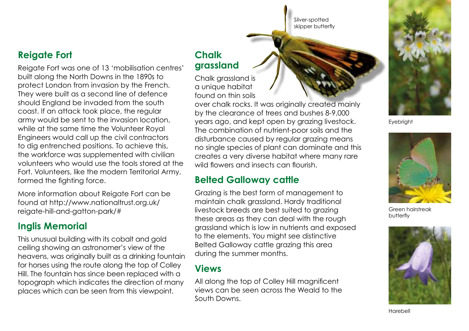Silver-spotted skipper butterfly

#### **Reigate Fort**

Reigate Fort was one of 13 'mobilisation centres' built along the North Downs in the 1890s to protect London from invasion by the French. They were built as a second line of defence should England be invaded from the south coast. If an attack took place, the regular army would be sent to the invasion location, while at the same time the Volunteer Royal Engineers would call up the civil contractors to dig entrenched positions. To achieve this, the workforce was supplemented with civilian volunteers who would use the tools stored at the Fort. Volunteers, like the modern Territorial Army, formed the fighting force.

More information about Reigate Fort can be found at http://www.nationaltrust.org.uk/ reigate-hill-and-gatton-park/#

#### **Inglis Memorial**

This unusual building with its cobalt and gold ceiling showing an astronomer's view of the heavens, was originally built as a drinking fountain for horses using the route along the top of Colley Hill. The fountain has since been replaced with a topograph which indicates the direction of many places which can be seen from this viewpoint.

#### **Chalk grassland**

Chalk grassland is a unique habitat found on thin soils

over chalk rocks. It was originally created mainly by the clearance of trees and bushes 8-9,000 years ago, and kept open by grazing livestock. The combination of nutrient-poor soils and the disturbance caused by regular grazing means no single species of plant can dominate and this creates a very diverse habitat where many rare wild flowers and insects can flourish.

#### **Belted Galloway cattle**

Grazing is the best form of management to maintain chalk grassland. Hardy traditional livestock breeds are best suited to grazing these areas as they can deal with the rough grassland which is low in nutrients and exposed to the elements. You might see distinctive Belted Galloway cattle grazing this area during the summer months.

#### **Views**

All along the top of Colley Hill magnificent views can be seen across the Weald to the South Downs.



**Evebright** 



Green hairstreak butterfly



Harebell